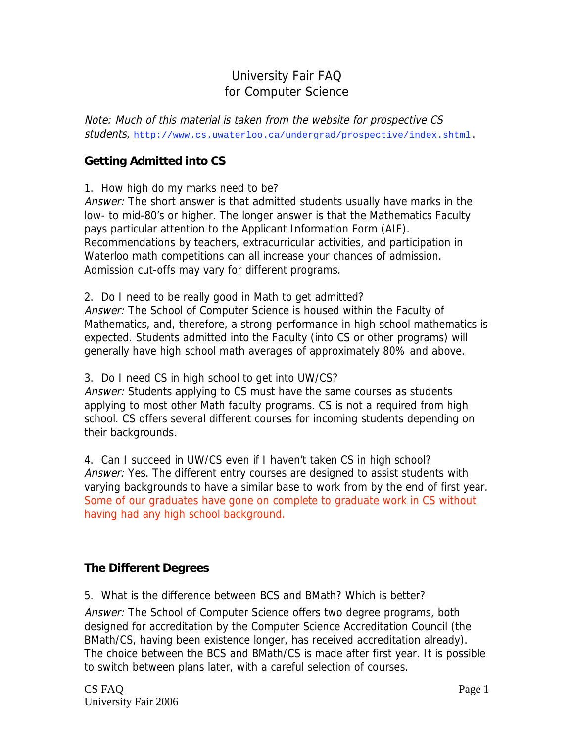# University Fair FAQ for Computer Science

Note: Much of this material is taken from the website for prospective CS students, http://www.cs.uwaterloo.ca/undergrad/prospective/index.shtml.

## **Getting Admitted into CS**

1. How high do my marks need to be?

Answer: The short answer is that admitted students usually have marks in the low- to mid-80's or higher. The longer answer is that the Mathematics Faculty pays particular attention to the Applicant Information Form (AIF). Recommendations by teachers, extracurricular activities, and participation in Waterloo math competitions can all increase your chances of admission. Admission cut-offs may vary for different programs.

2. Do I need to be really good in Math to get admitted? Answer: The School of Computer Science is housed within the Faculty of Mathematics, and, therefore, a strong performance in high school mathematics is expected. Students admitted into the Faculty (into CS or other programs) will generally have high school math averages of approximately 80% and above.

3. Do I need CS in high school to get into UW/CS?

Answer: Students applying to CS must have the same courses as students applying to most other Math faculty programs. CS is not a required from high school. CS offers several different courses for incoming students depending on their backgrounds.

4. Can I succeed in UW/CS even if I haven't taken CS in high school? Answer: Yes. The different entry courses are designed to assist students with varying backgrounds to have a similar base to work from by the end of first year. Some of our graduates have gone on complete to graduate work in CS without having had any high school background.

## **The Different Degrees**

5. What is the difference between BCS and BMath? Which is better?

Answer: The School of Computer Science offers two degree programs, both designed for accreditation by the Computer Science Accreditation Council (the BMath/CS, having been existence longer, has received accreditation already). The choice between the BCS and BMath/CS is made after first year. It is possible to switch between plans later, with a careful selection of courses.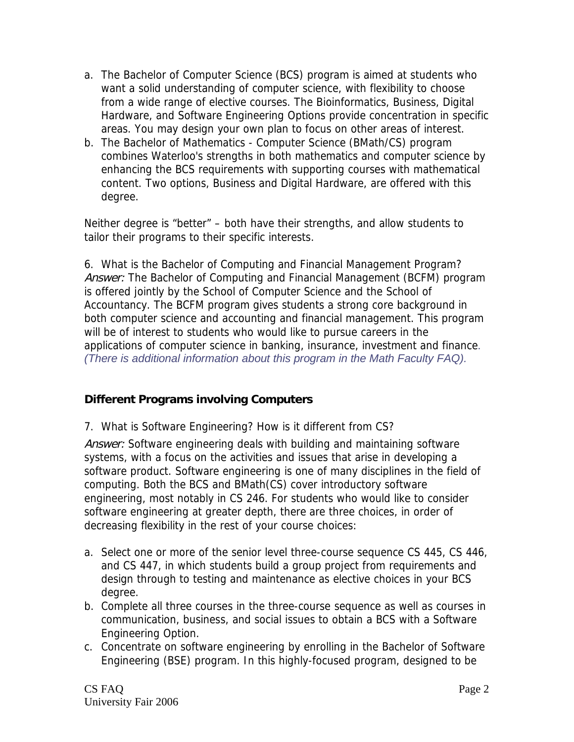- a. The Bachelor of Computer Science (BCS) program is aimed at students who want a solid understanding of computer science, with flexibility to choose from a wide range of elective courses. The Bioinformatics, Business, Digital Hardware, and Software Engineering Options provide concentration in specific areas. You may design your own plan to focus on other areas of interest.
- b. The Bachelor of Mathematics Computer Science (BMath/CS) program combines Waterloo's strengths in both mathematics and computer science by enhancing the BCS requirements with supporting courses with mathematical content. Two options, Business and Digital Hardware, are offered with this degree.

Neither degree is "better" – both have their strengths, and allow students to tailor their programs to their specific interests.

6. What is the Bachelor of Computing and Financial Management Program? Answer: The Bachelor of Computing and Financial Management (BCFM) program is offered jointly by the School of Computer Science and the School of Accountancy. The BCFM program gives students a strong core background in both computer science and accounting and financial management. This program will be of interest to students who would like to pursue careers in the applications of computer science in banking, insurance, investment and finance. *(There is additional information about this program in the Math Faculty FAQ).*

## **Different Programs involving Computers**

7. What is Software Engineering? How is it different from CS?

Answer: Software engineering deals with building and maintaining software systems, with a focus on the activities and issues that arise in developing a software product. Software engineering is one of many disciplines in the field of computing. Both the BCS and BMath(CS) cover introductory software engineering, most notably in CS 246. For students who would like to consider software engineering at greater depth, there are three choices, in order of decreasing flexibility in the rest of your course choices:

- a. Select one or more of the senior level three-course sequence CS 445, CS 446, and CS 447, in which students build a group project from requirements and design through to testing and maintenance as elective choices in your BCS degree.
- b. Complete all three courses in the three-course sequence as well as courses in communication, business, and social issues to obtain a BCS with a Software Engineering Option.
- c. Concentrate on software engineering by enrolling in the Bachelor of Software Engineering (BSE) program. In this highly-focused program, designed to be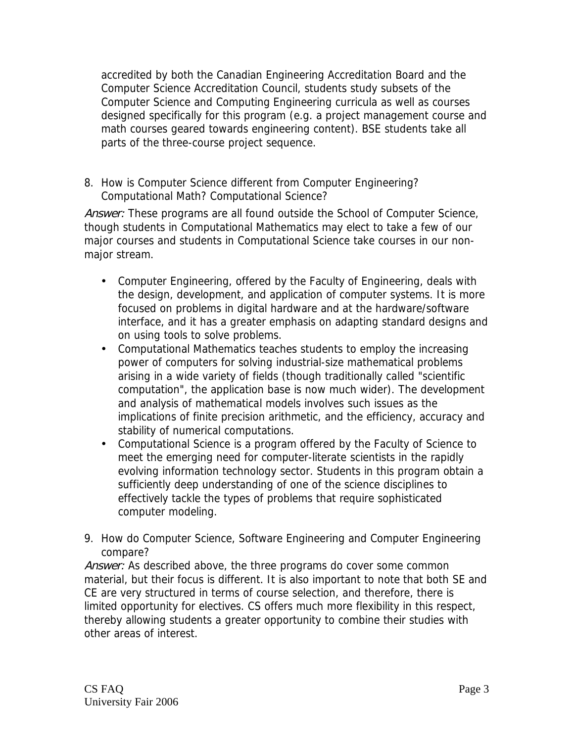accredited by both the Canadian Engineering Accreditation Board and the Computer Science Accreditation Council, students study subsets of the Computer Science and Computing Engineering curricula as well as courses designed specifically for this program (e.g. a project management course and math courses geared towards engineering content). BSE students take all parts of the three-course project sequence.

8. How is Computer Science different from Computer Engineering? Computational Math? Computational Science?

Answer: These programs are all found outside the School of Computer Science, though students in Computational Mathematics may elect to take a few of our major courses and students in Computational Science take courses in our nonmajor stream.

- Computer Engineering, offered by the Faculty of Engineering, deals with the design, development, and application of computer systems. It is more focused on problems in digital hardware and at the hardware/software interface, and it has a greater emphasis on adapting standard designs and on using tools to solve problems.
- Computational Mathematics teaches students to employ the increasing power of computers for solving industrial-size mathematical problems arising in a wide variety of fields (though traditionally called "scientific computation", the application base is now much wider). The development and analysis of mathematical models involves such issues as the implications of finite precision arithmetic, and the efficiency, accuracy and stability of numerical computations.
- Computational Science is a program offered by the Faculty of Science to meet the emerging need for computer-literate scientists in the rapidly evolving information technology sector. Students in this program obtain a sufficiently deep understanding of one of the science disciplines to effectively tackle the types of problems that require sophisticated computer modeling.
- 9. How do Computer Science, Software Engineering and Computer Engineering compare?

Answer: As described above, the three programs do cover some common material, but their focus is different. It is also important to note that both SE and CE are very structured in terms of course selection, and therefore, there is limited opportunity for electives. CS offers much more flexibility in this respect, thereby allowing students a greater opportunity to combine their studies with other areas of interest.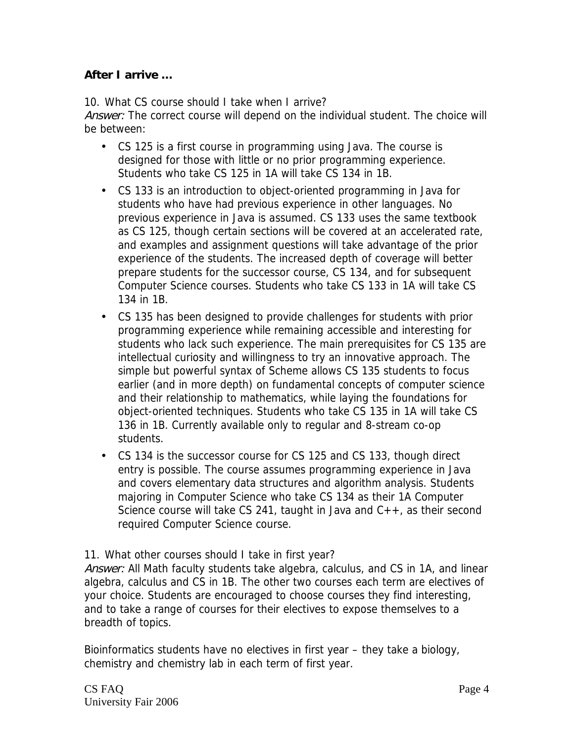## **After I arrive …**

10. What CS course should I take when I arrive?

Answer: The correct course will depend on the individual student. The choice will be between:

- CS 125 is a first course in programming using Java. The course is designed for those with little or no prior programming experience. Students who take CS 125 in 1A will take CS 134 in 1B.
- CS 133 is an introduction to object-oriented programming in Java for students who have had previous experience in other languages. No previous experience in Java is assumed. CS 133 uses the same textbook as CS 125, though certain sections will be covered at an accelerated rate, and examples and assignment questions will take advantage of the prior experience of the students. The increased depth of coverage will better prepare students for the successor course, CS 134, and for subsequent Computer Science courses. Students who take CS 133 in 1A will take CS 134 in 1B.
- CS 135 has been designed to provide challenges for students with prior programming experience while remaining accessible and interesting for students who lack such experience. The main prerequisites for CS 135 are intellectual curiosity and willingness to try an innovative approach. The simple but powerful syntax of Scheme allows CS 135 students to focus earlier (and in more depth) on fundamental concepts of computer science and their relationship to mathematics, while laying the foundations for object-oriented techniques. Students who take CS 135 in 1A will take CS 136 in 1B. Currently available only to regular and 8-stream co-op students.
- CS 134 is the successor course for CS 125 and CS 133, though direct entry is possible. The course assumes programming experience in Java and covers elementary data structures and algorithm analysis. Students majoring in Computer Science who take CS 134 as their 1A Computer Science course will take CS 241, taught in Java and  $C_{++}$ , as their second required Computer Science course.

11. What other courses should I take in first year?

Answer: All Math faculty students take algebra, calculus, and CS in 1A, and linear algebra, calculus and CS in 1B. The other two courses each term are electives of your choice. Students are encouraged to choose courses they find interesting, and to take a range of courses for their electives to expose themselves to a breadth of topics.

Bioinformatics students have no electives in first year – they take a biology, chemistry and chemistry lab in each term of first year.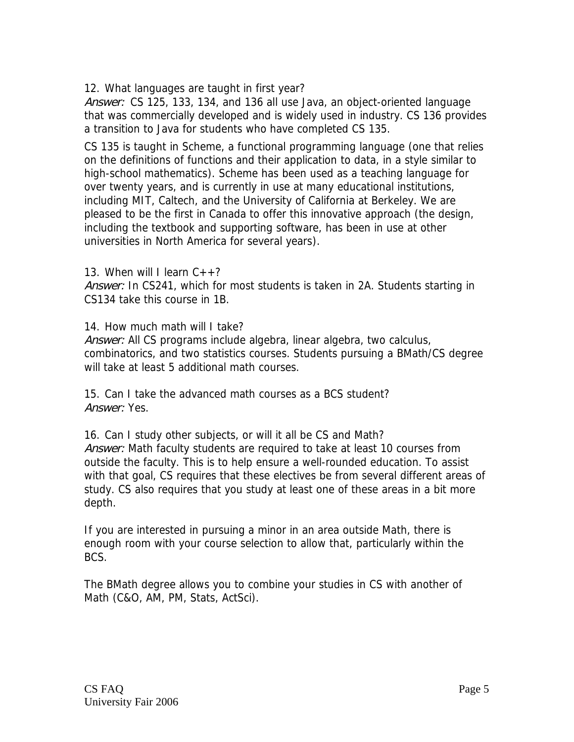12. What languages are taught in first year?

Answer: CS 125, 133, 134, and 136 all use Java, an object-oriented language that was commercially developed and is widely used in industry. CS 136 provides a transition to Java for students who have completed CS 135.

CS 135 is taught in Scheme, a functional programming language (one that relies on the definitions of functions and their application to data, in a style similar to high-school mathematics). Scheme has been used as a teaching language for over twenty years, and is currently in use at many educational institutions, including MIT, Caltech, and the University of California at Berkeley. We are pleased to be the first in Canada to offer this innovative approach (the design, including the textbook and supporting software, has been in use at other universities in North America for several years).

13. When will I learn  $C_{++}$ ?

Answer: In CS241, which for most students is taken in 2A. Students starting in CS134 take this course in 1B.

14. How much math will I take?

Answer: All CS programs include algebra, linear algebra, two calculus, combinatorics, and two statistics courses. Students pursuing a BMath/CS degree will take at least 5 additional math courses.

15. Can I take the advanced math courses as a BCS student? Answer: Yes.

16. Can I study other subjects, or will it all be CS and Math? Answer: Math faculty students are required to take at least 10 courses from outside the faculty. This is to help ensure a well-rounded education. To assist with that goal, CS requires that these electives be from several different areas of study. CS also requires that you study at least one of these areas in a bit more depth.

If you are interested in pursuing a minor in an area outside Math, there is enough room with your course selection to allow that, particularly within the BCS.

The BMath degree allows you to combine your studies in CS with another of Math (C&O, AM, PM, Stats, ActSci).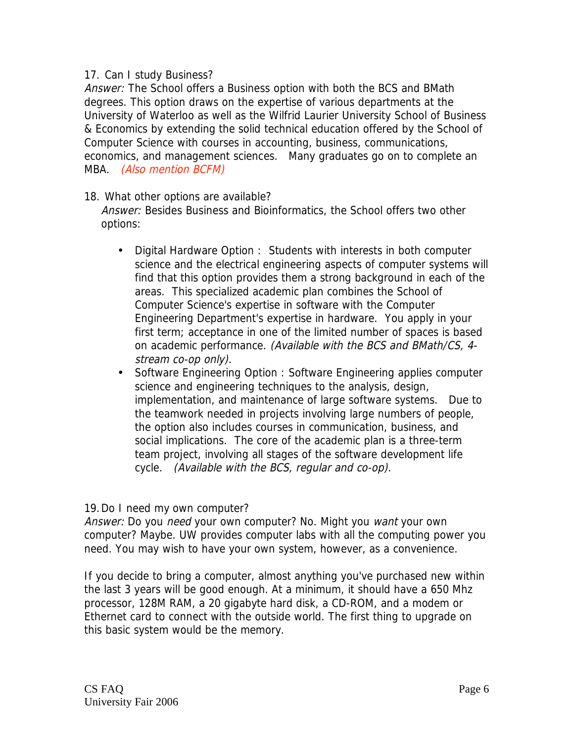#### 17. Can I study Business?

Answer: The School offers a Business option with both the BCS and BMath degrees. This option draws on the expertise of various departments at the University of Waterloo as well as the Wilfrid Laurier University School of Business & Economics by extending the solid technical education offered by the School of Computer Science with courses in accounting, business, communications, economics, and management sciences. Many graduates go on to complete an MBA. (Also mention BCFM)

- 18. What other options are available? Answer: Besides Business and Bioinformatics, the School offers two other options:
	- Digital Hardware Option : Students with interests in both computer science and the electrical engineering aspects of computer systems will find that this option provides them a strong background in each of the areas. This specialized academic plan combines the School of Computer Science's expertise in software with the Computer Engineering Department's expertise in hardware. You apply in your first term; acceptance in one of the limited number of spaces is based on academic performance. (Available with the BCS and BMath/CS, 4 stream co-op only).
	- Software Engineering Option : Software Engineering applies computer science and engineering techniques to the analysis, design, implementation, and maintenance of large software systems. Due to the teamwork needed in projects involving large numbers of people, the option also includes courses in communication, business, and social implications. The core of the academic plan is a three-term team project, involving all stages of the software development life cycle. (Available with the BCS, regular and co-op).

19.Do I need my own computer?

Answer: Do you need your own computer? No. Might you want your own computer? Maybe. UW provides computer labs with all the computing power you need. You may wish to have your own system, however, as a convenience.

If you decide to bring a computer, almost anything you've purchased new within the last 3 years will be good enough. At a minimum, it should have a 650 Mhz processor, 128M RAM, a 20 gigabyte hard disk, a CD-ROM, and a modem or Ethernet card to connect with the outside world. The first thing to upgrade on this basic system would be the memory.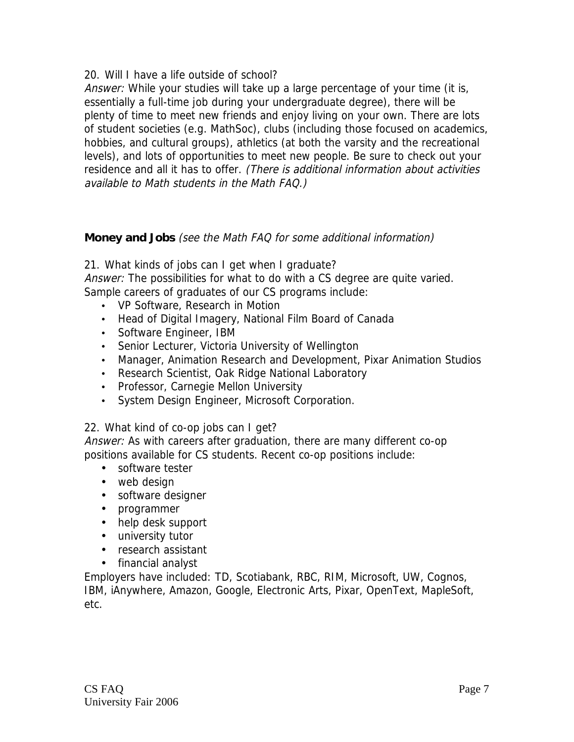20. Will I have a life outside of school?

Answer: While your studies will take up a large percentage of your time (it is, essentially a full-time job during your undergraduate degree), there will be plenty of time to meet new friends and enjoy living on your own. There are lots of student societies (e.g. MathSoc), clubs (including those focused on academics, hobbies, and cultural groups), athletics (at both the varsity and the recreational levels), and lots of opportunities to meet new people. Be sure to check out your residence and all it has to offer. (There is additional information about activities available to Math students in the Math FAQ.)

### **Money and Jobs** (see the Math FAQ for some additional information)

21. What kinds of jobs can I get when I graduate?

Answer: The possibilities for what to do with a CS degree are quite varied. Sample careers of graduates of our CS programs include:

- VP Software, Research in Motion
- Head of Digital Imagery, National Film Board of Canada
- Software Engineer, IBM
- Senior Lecturer, Victoria University of Wellington
- Manager, Animation Research and Development, Pixar Animation Studios
- Research Scientist, Oak Ridge National Laboratory
- Professor, Carnegie Mellon University
- System Design Engineer, Microsoft Corporation.

22. What kind of co-op jobs can I get?

Answer: As with careers after graduation, there are many different co-op positions available for CS students. Recent co-op positions include:

- software tester
- web design
- software designer
- programmer
- help desk support
- university tutor
- research assistant
- financial analyst

Employers have included: TD, Scotiabank, RBC, RIM, Microsoft, UW, Cognos, IBM, iAnywhere, Amazon, Google, Electronic Arts, Pixar, OpenText, MapleSoft, etc.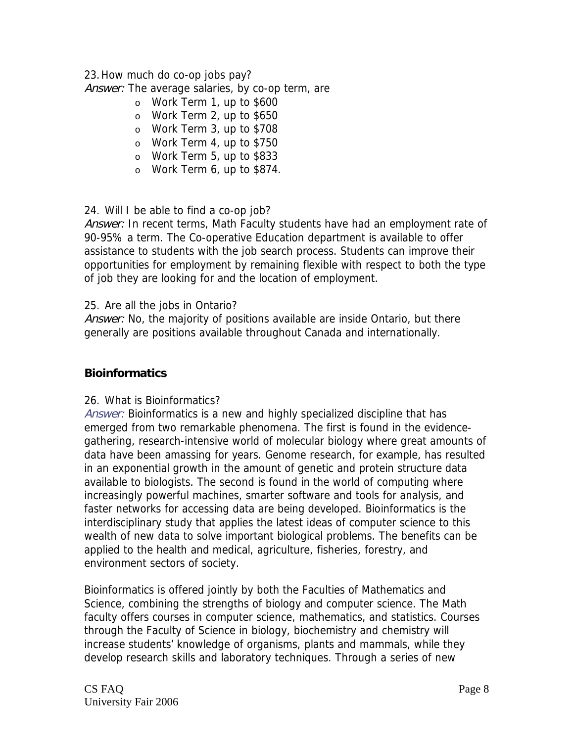#### 23.How much do co-op jobs pay?

Answer: The average salaries, by co-op term, are

- o Work Term 1, up to \$600
- o Work Term 2, up to \$650
- o Work Term 3, up to \$708
- o Work Term 4, up to \$750
- o Work Term 5, up to \$833
- o Work Term 6, up to \$874.

#### 24. Will I be able to find a co-op job?

Answer: In recent terms, Math Faculty students have had an employment rate of 90-95% a term. The Co-operative Education department is available to offer assistance to students with the job search process. Students can improve their opportunities for employment by remaining flexible with respect to both the type of job they are looking for and the location of employment.

#### 25. Are all the jobs in Ontario?

Answer: No, the majority of positions available are inside Ontario, but there generally are positions available throughout Canada and internationally.

### **Bioinformatics**

#### 26. What is Bioinformatics?

Answer: Bioinformatics is a new and highly specialized discipline that has emerged from two remarkable phenomena. The first is found in the evidencegathering, research-intensive world of molecular biology where great amounts of data have been amassing for years. Genome research, for example, has resulted in an exponential growth in the amount of genetic and protein structure data available to biologists. The second is found in the world of computing where increasingly powerful machines, smarter software and tools for analysis, and faster networks for accessing data are being developed. Bioinformatics is the interdisciplinary study that applies the latest ideas of computer science to this wealth of new data to solve important biological problems. The benefits can be applied to the health and medical, agriculture, fisheries, forestry, and environment sectors of society.

Bioinformatics is offered jointly by both the Faculties of Mathematics and Science, combining the strengths of biology and computer science. The Math faculty offers courses in computer science, mathematics, and statistics. Courses through the Faculty of Science in biology, biochemistry and chemistry will increase students' knowledge of organisms, plants and mammals, while they develop research skills and laboratory techniques. Through a series of new